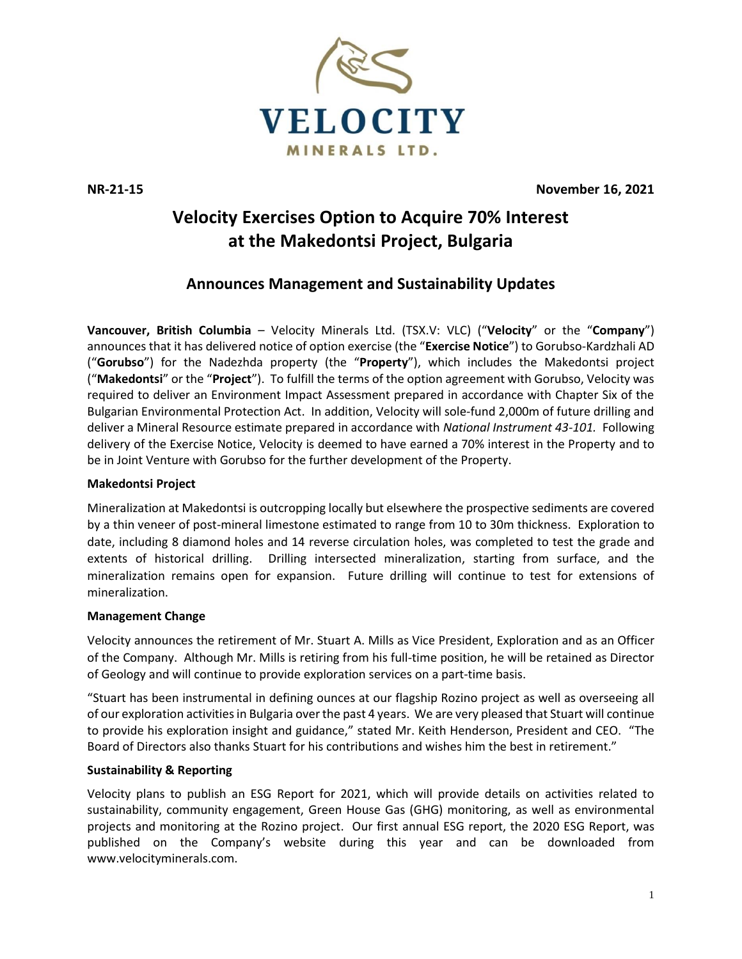

**NR-21-15 November 16, 2021**

# **Velocity Exercises Option to Acquire 70% Interest at the Makedontsi Project, Bulgaria**

# **Announces Management and Sustainability Updates**

**Vancouver, British Columbia** – Velocity Minerals Ltd. (TSX.V: VLC) ("**Velocity**" or the "**Company**") announces that it has delivered notice of option exercise (the "**Exercise Notice**") to Gorubso-Kardzhali AD ("**Gorubso**") for the Nadezhda property (the "**Property**"), which includes the Makedontsi project ("**Makedontsi**" or the "**Project**"). To fulfill the terms of the option agreement with Gorubso, Velocity was required to deliver an Environment Impact Assessment prepared in accordance with Chapter Six of the Bulgarian Environmental Protection Act. In addition, Velocity will sole-fund 2,000m of future drilling and deliver a Mineral Resource estimate prepared in accordance with *National Instrument 43-101.* Following delivery of the Exercise Notice, Velocity is deemed to have earned a 70% interest in the Property and to be in Joint Venture with Gorubso for the further development of the Property.

## **Makedontsi Project**

Mineralization at Makedontsi is outcropping locally but elsewhere the prospective sediments are covered by a thin veneer of post-mineral limestone estimated to range from 10 to 30m thickness. Exploration to date, including 8 diamond holes and 14 reverse circulation holes, was completed to test the grade and extents of historical drilling. Drilling intersected mineralization, starting from surface, and the mineralization remains open for expansion. Future drilling will continue to test for extensions of mineralization.

### **Management Change**

Velocity announces the retirement of Mr. Stuart A. Mills as Vice President, Exploration and as an Officer of the Company. Although Mr. Mills is retiring from his full-time position, he will be retained as Director of Geology and will continue to provide exploration services on a part-time basis.

"Stuart has been instrumental in defining ounces at our flagship Rozino project as well as overseeing all of our exploration activities in Bulgaria over the past 4 years. We are very pleased that Stuart will continue to provide his exploration insight and guidance," stated Mr. Keith Henderson, President and CEO. "The Board of Directors also thanks Stuart for his contributions and wishes him the best in retirement."

### **Sustainability & Reporting**

Velocity plans to publish an ESG Report for 2021, which will provide details on activities related to sustainability, community engagement, Green House Gas (GHG) monitoring, as well as environmental projects and monitoring at the Rozino project. Our first annual ESG report, the 2020 ESG Report, was published on the Company's website during this year and can be downloaded from [www.velocityminerals.com.](http://www.velocityminerals.com/)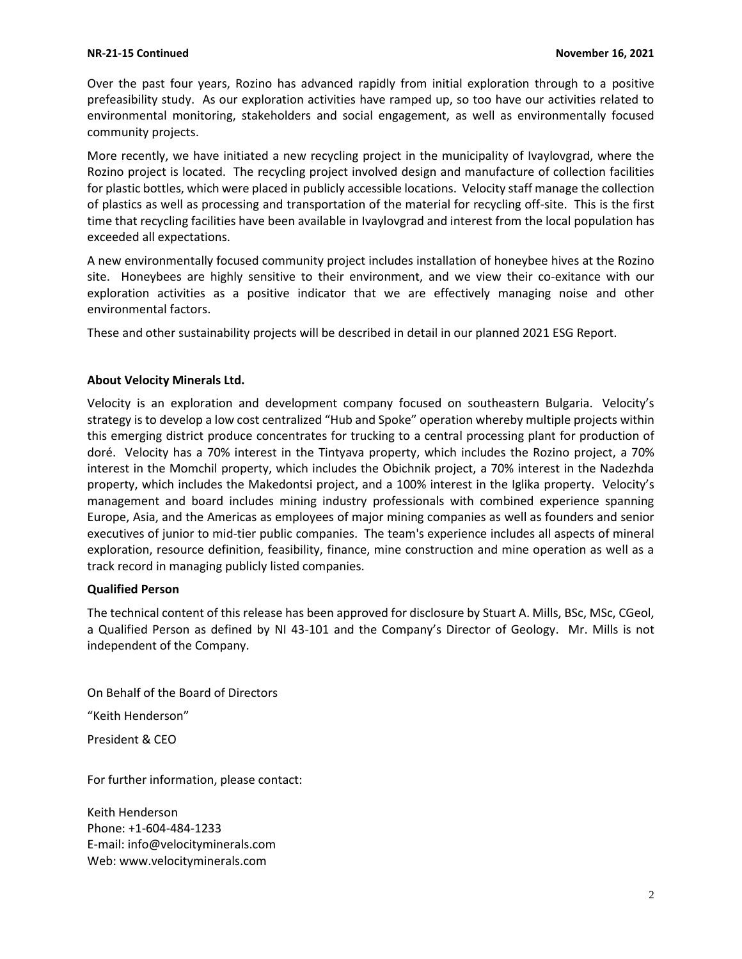Over the past four years, Rozino has advanced rapidly from initial exploration through to a positive prefeasibility study. As our exploration activities have ramped up, so too have our activities related to environmental monitoring, stakeholders and social engagement, as well as environmentally focused community projects.

More recently, we have initiated a new recycling project in the municipality of Ivaylovgrad, where the Rozino project is located. The recycling project involved design and manufacture of collection facilities for plastic bottles, which were placed in publicly accessible locations. Velocity staff manage the collection of plastics as well as processing and transportation of the material for recycling off-site. This is the first time that recycling facilities have been available in Ivaylovgrad and interest from the local population has exceeded all expectations.

A new environmentally focused community project includes installation of honeybee hives at the Rozino site. Honeybees are highly sensitive to their environment, and we view their co-exitance with our exploration activities as a positive indicator that we are effectively managing noise and other environmental factors.

These and other sustainability projects will be described in detail in our planned 2021 ESG Report.

#### **About Velocity Minerals Ltd.**

Velocity is an exploration and development company focused on southeastern Bulgaria. Velocity's strategy is to develop a low cost centralized "Hub and Spoke" operation whereby multiple projects within this emerging district produce concentrates for trucking to a central processing plant for production of doré. Velocity has a 70% interest in the Tintyava property, which includes the Rozino project, a 70% interest in the Momchil property, which includes the Obichnik project, a 70% interest in the Nadezhda property, which includes the Makedontsi project, and a 100% interest in the Iglika property. Velocity's management and board includes mining industry professionals with combined experience spanning Europe, Asia, and the Americas as employees of major mining companies as well as founders and senior executives of junior to mid-tier public companies. The team's experience includes all aspects of mineral exploration, resource definition, feasibility, finance, mine construction and mine operation as well as a track record in managing publicly listed companies.

#### **Qualified Person**

The technical content of this release has been approved for disclosure by Stuart A. Mills, BSc, MSc, CGeol, a Qualified Person as defined by NI 43-101 and the Company's Director of Geology. Mr. Mills is not independent of the Company.

On Behalf of the Board of Directors

"Keith Henderson"

President & CEO

For further information, please contact:

Keith Henderson Phone: +1-604-484-1233 E-mail: [info@velocityminerals.com](mailto:info@velocityminerals.com) Web: [www.velocityminerals.com](http://www.velocityminerals.com/)